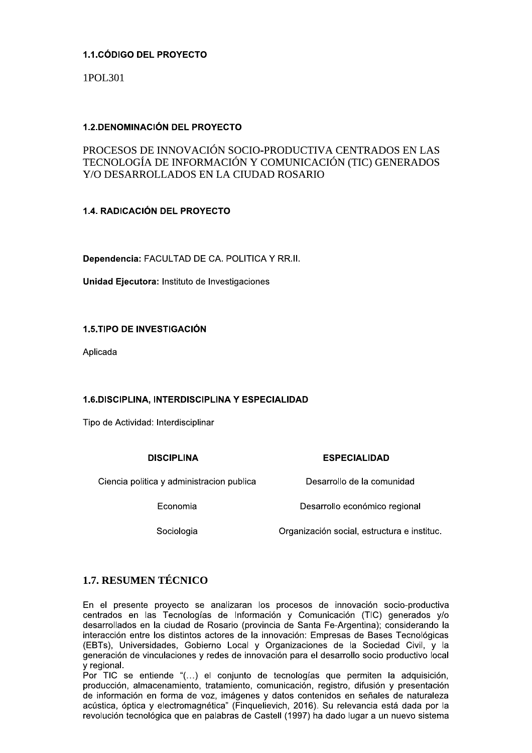## 1.1. CÓDIGO DEL PROYECTO

1POL301

## **1.2. DENOMINACIÓN DEL PROYECTO**

# PROCESOS DE INNOVACIÓN SOCIO-PRODUCTIVA CENTRADOS EN LAS TECNOLOGÍA DE INFORMACIÓN Y COMUNICACIÓN (TIC) GENERADOS Y/O DESARROLLADOS EN LA CIUDAD ROSARIO

## 1.4. RADICACIÓN DEL PROYECTO

Dependencia: FACULTAD DE CA. POLITICA Y RR.II.

Unidad Eiecutora: Instituto de Investigaciones

## **1.5.TIPO DE INVESTIGACIÓN**

Aplicada

## 1.6.DISCIPLINA, INTERDISCIPLINA Y ESPECIALIDAD

Tipo de Actividad: Interdisciplinar

## **DISCIPLINA**

## **ESPECIALIDAD**

Ciencia politica y administracion publica

Economia

Sociologia

Desarrollo de la comunidad

Desarrollo económico regional

Organización social, estructura e instituc.

# **1.7. RESUMEN TÉCNICO**

En el presente proyecto se analizaran los procesos de innovación socio-productiva centrados en las Tecnologías de Información y Comunicación (TIC) generados y/o desarrollados en la ciudad de Rosario (provincia de Santa Fe-Argentina); considerando la interacción entre los distintos actores de la innovación: Empresas de Bases Tecnológicas (EBTs), Universidades, Gobierno Local y Organizaciones de la Sociedad Civil, y la generación de vinculaciones y redes de innovación para el desarrollo socio productivo local v regional.

Por TIC se entiende "(...) el conjunto de tecnologías que permiten la adquisición, producción, almacenamiento, tratamiento, comunicación, registro, difusión y presentación de información en forma de voz, imágenes y datos contenidos en señales de naturaleza acústica, óptica y electromagnética" (Finguelievich, 2016). Su relevancia está dada por la revolución tecnológica que en palabras de Castell (1997) ha dado lugar a un nuevo sistema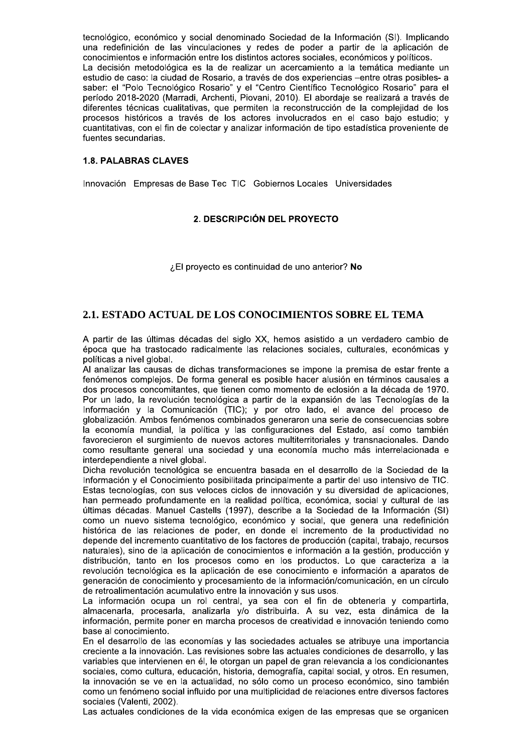tecnológico, económico y social denominado Sociedad de la Información (SI). Implicando una redefinición de las vinculaciones y redes de poder a partir de la aplicación de conocimientos e información entre los distintos actores sociales, económicos y políticos. La decisión metodológica es la de realizar un acercamiento a la temática mediante un estudio de caso: la ciudad de Rosario, a través de dos experiencias –entre otras posibles- a saber: el "Polo Tecnológico Rosario" y el "Centro Científico Tecnológico Rosario" para el período 2018-2020 (Marradi, Archenti, Piovani, 2010). El abordaje se realizará a través de diferentes técnicas cualitativas, que permiten la reconstrucción de la complejidad de los procesos históricos a través de los actores involucrados en el caso bajo estudio; y cuantitativas, con el fin de colectar y analizar información de tipo estadística proveniente de fuentes secundarias.

#### **1.8. PALABRAS CLAVES**

Innovación Empresas de Base Tec TIC Gobiernos Locales Universidades

#### 2. DESCRIPCIÓN DEL PROYECTO

¿El proyecto es continuidad de uno anterior? No

## 2.1. ESTADO ACTUAL DE LOS CONOCIMIENTOS SOBRE EL TEMA

A partir de las últimas décadas del siglo XX, hemos asistido a un verdadero cambio de época que ha trastocado radicalmente las relaciones sociales, culturales, económicas y políticas a nivel global.

Al analizar las causas de dichas transformaciones se impone la premisa de estar frente a fenómenos complejos. De forma general es posible hacer alusión en términos causales a dos procesos concomitantes, que tienen como momento de eclosión a la década de 1970. Por un lado, la revolución tecnológica a partir de la expansión de las Tecnologías de la Información y la Comunicación (TIC); y por otro lado, el avance del proceso de alobalización. Ambos fenómenos combinados generaron una serie de consecuencias sobre la economía mundial, la política y las configuraciones del Estado, así como también favorecieron el surgimiento de nuevos actores multiterritoriales y transnacionales. Dando como resultante general una sociedad y una economía mucho más interrelacionada e interdependiente a nivel global.

Dicha revolución tecnológica se encuentra basada en el desarrollo de la Sociedad de la Información y el Conocimiento posibilitada principalmente a partir del uso intensivo de TIC. Estas tecnologías, con sus veloces ciclos de innovación y su diversidad de aplicaciones, han permeado profundamente en la realidad política, económica, social y cultural de las últimas décadas. Manuel Castells (1997), describe a la Sociedad de la Información (SI) como un nuevo sistema tecnológico, económico y social, que genera una redefinición histórica de las relaciones de poder, en donde el incremento de la productividad no depende del incremento cuantitativo de los factores de producción (capital, trabajo, recursos naturales), sino de la aplicación de conocimientos e información a la gestión, producción y distribución, tanto en los procesos como en los productos. Lo que caracteriza a la revolución tecnológica es la aplicación de ese conocimiento e información a aparatos de generación de conocimiento y procesamiento de la información/comunicación, en un círculo de retroalimentación acumulativo entre la innovación y sus usos.

La información ocupa un rol central, ya sea con el fin de obtenerla y compartirla, almacenarla, procesarla, analizarla y/o distribuirla. A su vez, esta dinámica de la información, permite poner en marcha procesos de creatividad e innovación teniendo como base al conocimiento.

En el desarrollo de las economías y las sociedades actuales se atribuye una importancia creciente a la innovación. Las revisiones sobre las actuales condiciones de desarrollo, y las variables que intervienen en él, le otorgan un papel de gran relevancia a los condicionantes sociales, como cultura, educación, historia, demografía, capital social, y otros. En resumen, la innovación se ve en la actualidad, no sólo como un proceso económico, sino también como un fenómeno social influido por una multiplicidad de relaciones entre diversos factores sociales (Valenti, 2002).

Las actuales condiciones de la vida económica exigen de las empresas que se organicen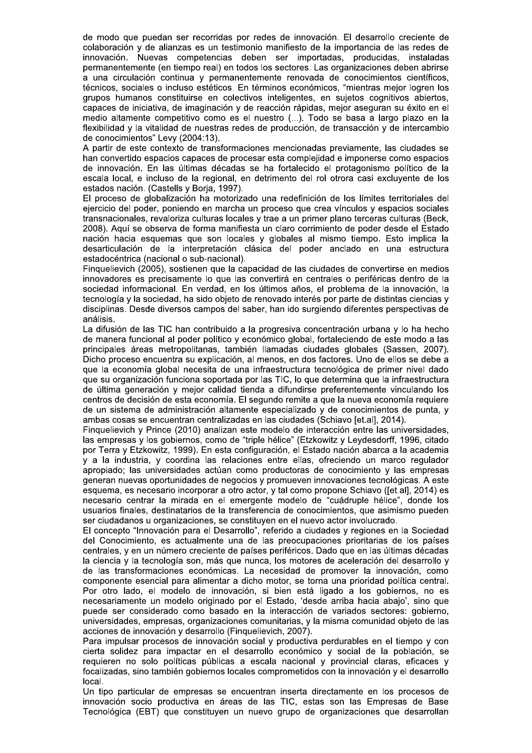de modo que puedan ser recorridas por redes de innovación. El desarrollo creciente de colaboración y de alianzas es un testimonio manifiesto de la importancia de las redes de innovación. Nuevas competencias deben ser importadas, producidas, instaladas permanentemente (en tiempo real) en todos los sectores. Las organizaciones deben abrirse a una circulación continua y permanentemente renovada de conocimientos científicos, técnicos, sociales o incluso estéticos. En términos económicos, "mientras mejor logren los grupos humanos constituirse en colectivos inteligentes, en sujetos cognitivos abiertos, capaces de iniciativa, de imaginación y de reacción rápidas, mejor aseguran su éxito en el medio altamente competitivo como es el nuestro (...). Todo se basa a largo plazo en la flexibilidad y la vitalidad de nuestras redes de producción, de transacción y de intercambio de conocimientos" Levy (2004:13).

A partir de este contexto de transformaciones mencionadas previamente, las ciudades se han convertido espacios capaces de procesar esta complejidad e imponerse como espacios de innovación. En las últimas décadas se ha fortalecido el protagonismo político de la escala local, e incluso de la regional, en detrimento del rol otrora casi excluvente de los estados nación. (Castells y Borja, 1997).

El proceso de globalización ha motorizado una redefinición de los límites territoriales del ejercicio del poder, poniendo en marcha un proceso que crea vínculos y espacios sociales transnacionales, revaloriza culturas locales y trae a un primer plano terceras culturas (Beck, 2008). Aquí se observa de forma manifiesta un claro corrimiento de poder desde el Estado nación hacia esquemas que son locales y globales al mismo tiempo. Esto implica la desarticulación de la interpretación clásica del poder anclado en una estructura estadocéntrica (nacional o sub-nacional).

Finguelievich (2005), sostienen que la capacidad de las ciudades de convertirse en medios innovadores es precisamente lo que las convertirá en centrales o periféricas dentro de la sociedad informacional. En verdad, en los últimos años, el problema de la innovación, la tecnología y la sociedad, ha sido objeto de renovado interés por parte de distintas ciencias y disciplinas. Desde diversos campos del saber, han ido surgiendo diferentes perspectivas de análisis.

La difusión de las TIC han contribuido a la progresiva concentración urbana y lo ha hecho de manera funcional al poder político y económico global, fortaleciendo de este modo a las principales áreas metropolitanas, también llamadas ciudades globales (Sassen, 2007). Dicho proceso encuentra su explicación, al menos, en dos factores. Uno de ellos se debe a que la economía global necesita de una infraestructura tecnológica de primer nivel dado que su organización funciona soportada por las TIC, lo que determina que la infraestructura de última generación y mejor calidad tienda a difundirse preferentemente vinculando los centros de decisión de esta economía. El segundo remite a que la nueva economía requiere de un sistema de administración altamente especializado y de conocimientos de punta, y ambas cosas se encuentran centralizadas en las ciudades (Schiavo [et.al], 2014).

Finquelievich y Prince (2010) analizan este modelo de interacción entre las universidades, las empresas y los gobiernos, como de "triple hélice" (Etzkowitz y Leydesdorff, 1996, citado por Terra y Etzkowitz, 1999). En esta configuración, el Estado nación abarca a la academia y a la industria, y coordina las relaciones entre ellas, ofreciendo un marco regulador apropiado; las universidades actúan como productoras de conocimiento y las empresas generan nuevas oportunidades de negocios y promueven innovaciones tecnológicas. A este esquema, es necesario incorporar a otro actor, y tal como propone Schiavo ([et.al], 2014) es necesario centrar la mirada en el emergente modelo de "cuádruple hélice", donde los usuarios finales, destinatarios de la transferencia de conocimientos, que asimismo pueden ser ciudadanos u organizaciones, se constituyen en el nuevo actor involucrado.

El concepto "Innovación para el Desarrollo", referido a ciudades y regiones en la Sociedad del Conocimiento, es actualmente una de las preocupaciones prioritarias de los países centrales, y en un número creciente de países periféricos. Dado que en las últimas décadas la ciencia y la tecnología son, más que nunca, los motores de aceleración del desarrollo y de las transformaciones económicas. La necesidad de promover la innovación, como componente esencial para alimentar a dicho motor, se torna una prioridad política central. Por otro lado, el modelo de innovación, si bien está ligado a los gobiernos, no es necesariamente un modelo originado por el Estado, 'desde arriba hacia abajo', sino que puede ser considerado como basado en la interacción de variados sectores: gobierno, universidades, empresas, organizaciones comunitarias, y la misma comunidad objeto de las acciones de innovación y desarrollo (Finquelievich, 2007).

Para impulsar procesos de innovación social y productiva perdurables en el tiempo y con cierta solidez para impactar en el desarrollo económico y social de la población, se requieren no solo políticas públicas a escala nacional y provincial claras, eficaces y focalizadas, sino también gobiernos locales comprometidos con la innovación y el desarrollo local.

Un tipo particular de empresas se encuentran inserta directamente en los procesos de innovación socio productiva en áreas de las TIC, estas son las Empresas de Base Tecnológica (EBT) que constituyen un nuevo grupo de organizaciones que desarrollan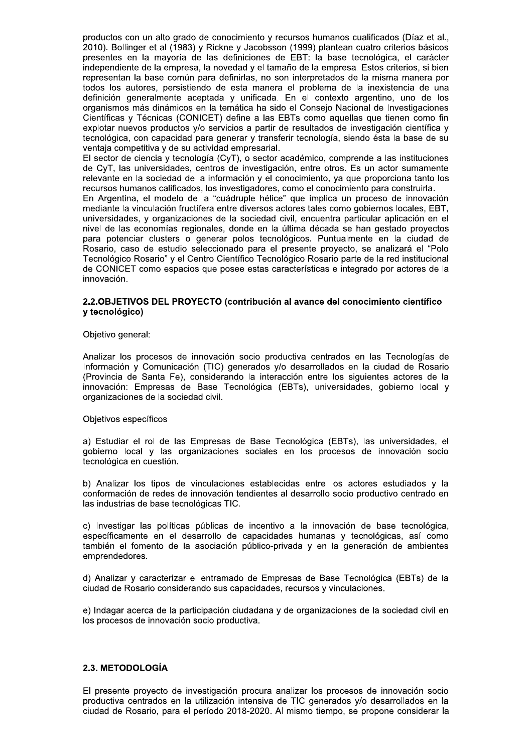productos con un alto grado de conocimiento y recursos humanos cualificados (Díaz et al., 2010). Bollinger et al (1983) y Rickne y Jacobsson (1999) plantean cuatro criterios básicos presentes en la mayoría de las definiciones de EBT: la base tecnológica, el carácter independiente de la empresa, la novedad y el tamaño de la empresa. Estos criterios, si bien representan la base común para definirlas, no son interpretados de la misma manera por todos los autores, persistiendo de esta manera el problema de la inexistencia de una definición generalmente aceptada y unificada. En el contexto argentino, uno de los organismos más dinámicos en la temática ha sido el Consejo Nacional de Investigaciones Científicas y Técnicas (CONICET) define a las EBTs como aquellas que tienen como fin explotar nuevos productos y/o servicios a partir de resultados de investigación científica y tecnológica, con capacidad para generar y transferir tecnología, siendo ésta la base de su ventaja competitiva y de su actividad empresarial.

El sector de ciencia y tecnología (CyT), o sector académico, comprende a las instituciones de CyT, las universidades, centros de investigación, entre otros. Es un actor sumamente relevante en la sociedad de la información y el conocimiento, ya que proporciona tanto los recursos humanos calificados, los investigadores, como el conocimiento para construirla.

En Argentina, el modelo de la "cuádruple hélice" que implica un proceso de innovación mediante la vinculación fructífera entre diversos actores tales como gobiernos locales. EBT. universidades, y organizaciones de la sociedad civil, encuentra particular aplicación en el nivel de las economías regionales, donde en la última década se han gestado proyectos para potenciar clusters o generar polos tecnológicos. Puntualmente en la ciudad de Rosario, caso de estudio seleccionado para el presente proyecto, se analizará el "Polo Tecnológico Rosario" y el Centro Científico Tecnológico Rosario parte de la red institucional de CONICET como espacios que posee estas características e integrado por actores de la innovación.

#### 2.2. OBJETIVOS DEL PROYECTO (contribución al avance del conocimiento científico y tecnológico)

#### Objetivo general:

Analizar los procesos de innovación socio productiva centrados en las Tecnologías de Información y Comunicación (TIC) generados y/o desarrollados en la ciudad de Rosario (Provincia de Santa Fe), considerando la interacción entre los siguientes actores de la innovación: Empresas de Base Tecnológica (EBTs), universidades, gobierno local y organizaciones de la sociedad civil.

#### Objetivos específicos

a) Estudiar el rol de las Empresas de Base Tecnológica (EBTs), las universidades, el gobierno local y las organizaciones sociales en los procesos de innovación socio tecnológica en cuestión.

b) Analizar los tipos de vinculaciones establecidas entre los actores estudiados y la conformación de redes de innovación tendientes al desarrollo socio productivo centrado en las industrias de base tecnológicas TIC.

c) Investigar las políticas públicas de incentivo a la innovación de base tecnológica, específicamente en el desarrollo de capacidades humanas y tecnológicas, así como también el fomento de la asociación público-privada y en la generación de ambientes emprendedores.

d) Analizar y caracterizar el entramado de Empresas de Base Tecnológica (EBTs) de la ciudad de Rosario considerando sus capacidades, recursos y vinculaciones.

e) Indagar acerca de la participación ciudadana y de organizaciones de la sociedad civil en los procesos de innovación socio productiva.

#### 2.3. METODOLOGÍA

El presente proyecto de investigación procura analizar los procesos de innovación socio productiva centrados en la utilización intensiva de TIC generados y/o desarrollados en la ciudad de Rosario, para el período 2018-2020. Al mismo tiempo, se propone considerar la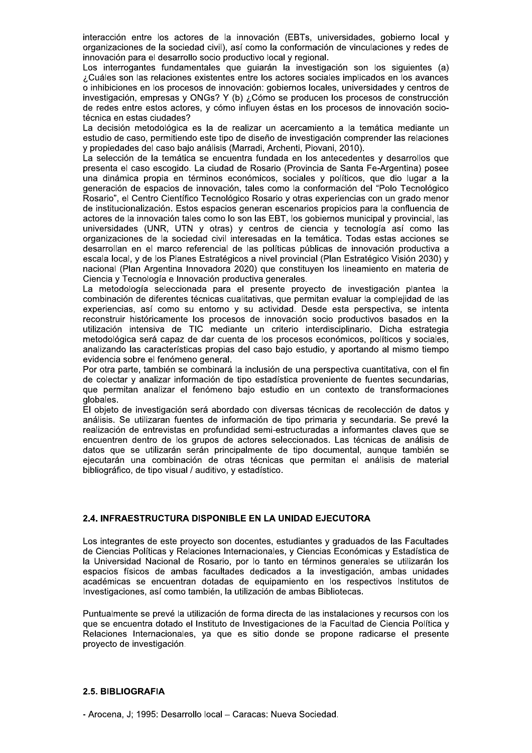interacción entre los actores de la innovación (EBTs, universidades, gobierno local y organizaciones de la sociedad civil), así como la conformación de vinculaciones y redes de innovación para el desarrollo socio productivo local y regional.

Los interrogantes fundamentales que quiarán la investigación son los siguientes (a) ¿Cuáles son las relaciones existentes entre los actores sociales implicados en los avances o inhibiciones en los procesos de innovación: gobiernos locales, universidades y centros de investigación, empresas y ONGs? Y (b) ¿Cómo se producen los procesos de construcción de redes entre estos actores, y cómo influyen éstas en los procesos de innovación sociotécnica en estas ciudades?

La decisión metodológica es la de realizar un acercamiento a la temática mediante un estudio de caso, permitiendo este tipo de diseño de investigación comprender las relaciones y propiedades del caso bajo análisis (Marradi, Archenti, Piovani, 2010).

La selección de la temática se encuentra fundada en los antecedentes y desarrollos que presenta el caso escogido. La ciudad de Rosario (Provincia de Santa Fe-Argentina) posee una dinámica propia en términos económicos, sociales y políticos, que dio lugar a la generación de espacios de innovación, tales como la conformación del "Polo Tecnológico Rosario", el Centro Científico Tecnológico Rosario y otras experiencias con un grado menor de institucionalización. Estos espacios generan escenarios propicios para la confluencia de actores de la innovación tales como lo son las EBT, los gobiernos municipal y provincial, las universidades (UNR, UTN y otras) y centros de ciencia y tecnología así como las organizaciones de la sociedad civil interesadas en la temática. Todas estas acciones se desarrollan en el marco referencial de las políticas públicas de innovación productiva a escala local, y de los Planes Estratégicos a nivel provincial (Plan Estratégico Visión 2030) y nacional (Plan Argentina Innovadora 2020) que constituyen los lineamiento en materia de Ciencia y Tecnología e Innovación productiva generales.

La metodología seleccionada para el presente proyecto de investigación plantea la combinación de diferentes técnicas cualitativas, que permitan evaluar la complejidad de las experiencias, así como su entorno y su actividad. Desde esta perspectiva, se intenta reconstruir históricamente los procesos de innovación socio productivos basados en la utilización intensiva de TIC mediante un criterio interdisciplinario. Dicha estrategia metodológica será capaz de dar cuenta de los procesos económicos, políticos y sociales, analizando las características propias del caso bajo estudio, y aportando al mismo tiempo evidencia sobre el fenómeno general.

Por otra parte, también se combinará la inclusión de una perspectiva cuantitativa, con el fin de colectar y analizar información de tipo estadística proveniente de fuentes secundarias, que permitan analizar el fenómeno bajo estudio en un contexto de transformaciones globales.

El objeto de investigación será abordado con diversas técnicas de recolección de datos y análisis. Se utilizaran fuentes de información de tipo primaria y secundaria. Se prevé la realización de entrevistas en profundidad semi-estructuradas a informantes claves que se encuentren dentro de los grupos de actores seleccionados. Las técnicas de análisis de datos que se utilizarán serán principalmente de tipo documental, aunque también se ejecutarán una combinación de otras técnicas que permitan el análisis de material bibliográfico, de tipo visual / auditivo, y estadístico.

## 2.4. INFRAESTRUCTURA DISPONIBLE EN LA UNIDAD EJECUTORA

Los integrantes de este proyecto son docentes, estudiantes y graduados de las Facultades de Ciencias Políticas y Relaciones Internacionales, y Ciencias Económicas y Estadística de la Universidad Nacional de Rosario, por lo tanto en términos generales se utilizarán los espacios físicos de ambas facultades dedicados a la investigación, ambas unidades académicas se encuentran dotadas de equipamiento en los respectivos Institutos de Investigaciones, así como también, la utilización de ambas Bibliotecas.

Puntualmente se prevé la utilización de forma directa de las instalaciones y recursos con los que se encuentra dotado el Instituto de Investigaciones de la Facultad de Ciencia Política y Relaciones Internacionales, ya que es sitio donde se propone radicarse el presente proyecto de investigación.

## 2.5. BIBLIOGRAFIA

- Arocena, J; 1995: Desarrollo local - Caracas: Nueva Sociedad.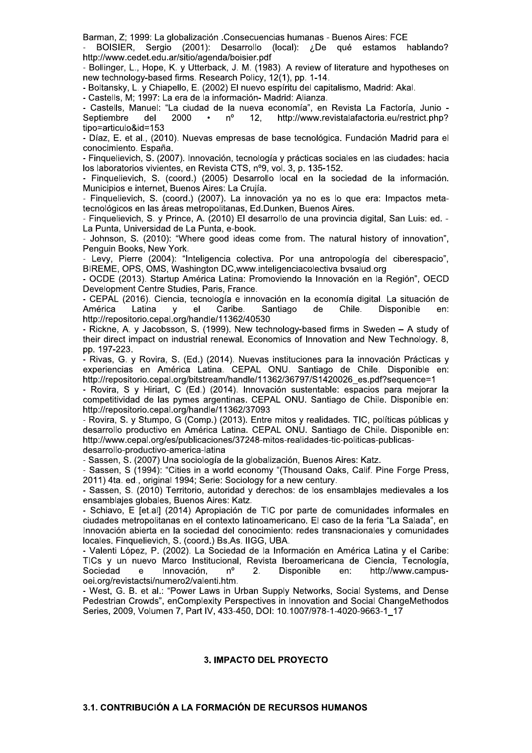Barman, Z; 1999: La globalización .Consecuencias humanas - Buenos Aires: FCE

BOISIER, Sergio (2001): Desarrollo (local): ¿De qué estamos hablando? http://www.cedet.edu.ar/sitio/agenda/boisier.pdf

- Bollinger, L., Hope, K. y Utterback, J. M. (1983). A review of literature and hypotheses on new technology-based firms. Research Policy, 12(1), pp. 1-14.

- Boltansky, L. y Chiapello, E. (2002) El nuevo espíritu del capitalismo, Madrid: Akal.

- Castells, M; 1997: La era de la información- Madrid: Alianza.

- Castells, Manuel: "La ciudad de la nueva economía", en Revista La Factoría, Junio -Septiembre del 2000  $n^{\circ}$  $12.$ http://www.revistalafactoria.eu/restrict.php?  $\bullet$ tipo=articulo&id=153

- Díaz, E. et al., (2010). Nuevas empresas de base tecnológica. Fundación Madrid para el conocimiento. España.

- Finguelievich, S. (2007). Innovación, tecnología y prácticas sociales en las ciudades: hacia los laboratorios vivientes, en Revista CTS, nº9, vol. 3, p. 135-152.

- Finquelievich, S. (coord.) (2005) Desarrollo local en la sociedad de la información. Municipios e internet, Buenos Aires: La Crujía.

- Finguelievich, S. (coord.) (2007). La innovación va no es lo que era: Impactos metatecnológicos en las áreas metropolitanas, Ed.Dunken, Buenos Aires.

- Finguelievich, S. y Prince, A. (2010) El desarrollo de una provincia digital, San Luis: ed. -La Punta, Universidad de La Punta, e-book.

- Johnson, S. (2010): "Where good ideas come from. The natural history of innovation", Penguin Books, New York.

- Levy, Pierre (2004): "Inteligencia colectiva. Por una antropología del ciberespacio". BIREME, OPS, OMS, Washington DC, www.inteligenciacolectiva.bysalud.org

- OCDE (2013). Startup América Latina: Promoviendo la Innovación en la Región", OECD Development Centre Studies, Paris, France.

- CEPAL (2016). Ciencia, tecnología e innovación en la economía digital. La situación de Latina Caribe. América  $el$ Santiago de Chile. Disponible en:  $\mathbf{V}$ http://repositorio.cepal.org/handle/11362/40530

- Rickne, A. y Jacobsson, S. (1999). New technology-based firms in Sweden - A study of their direct impact on industrial renewal. Economics of Innovation and New Technology. 8, pp. 197-223.

- Rivas, G. y Rovira, S. (Ed.) (2014). Nuevas instituciones para la innovación Prácticas y experiencias en América Latina. CEPAL ONU. Santiago de Chile. Disponible en: http://repositorio.cepal.org/bitstream/handle/11362/36797/S1420026\_es.pdf?sequence=1

- Rovira, S y Hiriart, C (Ed.) (2014). Innovación sustentable: espacios para meiorar la competitividad de las pymes argentinas. CEPAL ONU. Santiago de Chile. Disponible en: http://repositorio.cepal.org/handle/11362/37093

- Rovira, S. y Stumpo, G (Comp.) (2013). Entre mitos y realidades. TIC, políticas públicas y desarrollo productivo en América Latina. CEPAL ONU, Santiago de Chile. Disponible en: http://www.cepal.org/es/publicaciones/37248-mitos-realidades-tic-politicas-publicasdesarrollo-productivo-america-latina

- Sassen, S. (2007) Una sociología de la globalización, Buenos Aires: Katz.

- Sassen, S (1994): "Cities in a world economy "(Thousand Oaks, Calif. Pine Forge Press, 2011) 4ta. ed., original 1994; Serie: Sociology for a new century.

- Sassen, S. (2010) Territorio, autoridad y derechos: de los ensamblaies medievales a los ensamblajes globales, Buenos Aires: Katz.

- Schiavo, E [et.al] (2014) Apropiación de TIC por parte de comunidades informales en ciudades metropolitanas en el contexto latinoamericano. El caso de la feria "La Salada", en Innovación abierta en la sociedad del conocimiento: redes transnacionales y comunidades locales. Finquelievich, S. (coord.) Bs.As. IIGG, UBA.

- Valenti López, P. (2002). La Sociedad de la Información en América Latina y el Caribe: TICs y un nuevo Marco Institucional, Revista Iberoamericana de Ciencia, Tecnología, Sociedad  $\Delta$ Innovación.  $n^{\circ}$  $2.$ Disponible http://www.campusen: oei.org/revistactsi/numero2/valenti.htm.

- West, G. B. et al.: "Power Laws in Urban Supply Networks, Social Systems, and Dense Pedestrian Crowds", enComplexity Perspectives in Innovation and Social ChangeMethodos Series, 2009, Volumen 7, Part IV, 433-450, DOI: 10.1007/978-1-4020-9663-1\_17

## 3. IMPACTO DEL PROYECTO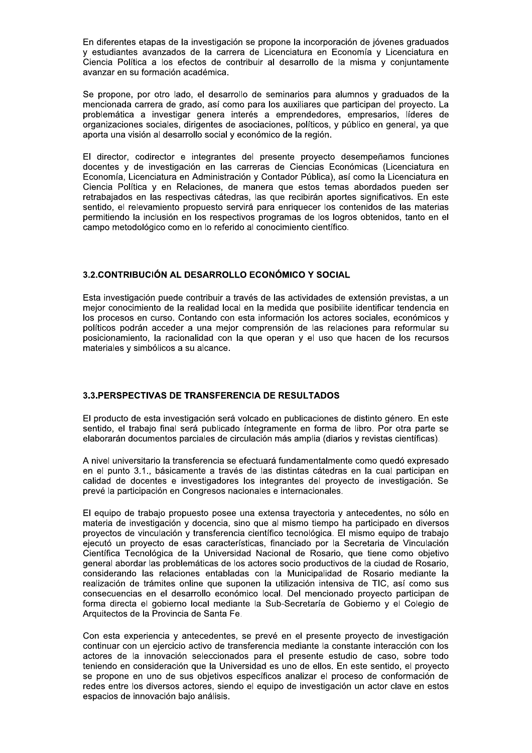En diferentes etapas de la investigación se propone la incorporación de jóvenes graduados y estudiantes avanzados de la carrera de Licenciatura en Economía y Licenciatura en Ciencia Política a los efectos de contribuir al desarrollo de la misma y conjuntamente avanzar en su formación académica.

Se propone, por otro lado, el desarrollo de seminarios para alumnos y graduados de la mencionada carrera de grado, así como para los auxiliares que participan del proyecto. La problemática a investigar genera interés a emprendedores, empresarios, líderes de organizaciones sociales, dirigentes de asociaciones, políticos, y público en general, ya que aporta una visión al desarrollo social y económico de la región.

El director, codirector e integrantes del presente proyecto desempeñamos funciones docentes y de investigación en las carreras de Ciencias Económicas (Licenciatura en Economía, Licenciatura en Administración y Contador Pública), así como la Licenciatura en Ciencia Política y en Relaciones, de manera que estos temas abordados pueden ser retrabajados en las respectivas cátedras, las que recibirán aportes significativos. En este sentido, el relevamiento propuesto servirá para enriquecer los contenidos de las materias permitiendo la inclusión en los respectivos programas de los logros obtenidos, tanto en el campo metodológico como en lo referido al conocimiento científico.

#### 3.2. CONTRIBUCIÓN AL DESARROLLO ECONÓMICO Y SOCIAL

Esta investigación puede contribuir a través de las actividades de extensión previstas, a un mejor conocimiento de la realidad local en la medida que posibilite identificar tendencia en los procesos en curso. Contando con esta información los actores sociales, económicos y políticos podrán acceder a una mejor comprensión de las relaciones para reformular su posicionamiento, la racionalidad con la que operan y el uso que hacen de los recursos materiales y simbólicos a su alcance.

#### 3.3. PERSPECTIVAS DE TRANSFERENCIA DE RESULTADOS

El producto de esta investigación será volcado en publicaciones de distinto género. En este sentido, el trabajo final será publicado íntegramente en forma de libro. Por otra parte se elaborarán documentos parciales de circulación más amplia (diarios y revistas científicas).

A nivel universitario la transferencia se efectuará fundamentalmente como quedó expresado en el punto 3.1., básicamente a través de las distintas cátedras en la cual participan en calidad de docentes e investigadores los integrantes del proyecto de investigación. Se prevé la participación en Congresos nacionales e internacionales.

El equipo de trabajo propuesto posee una extensa trayectoria y antecedentes, no sólo en materia de investigación y docencia, sino que al mismo tiempo ha participado en diversos proyectos de vinculación y transferencia científico tecnológica. El mismo equipo de trabajo ejecutó un proyecto de esas características, financiado por la Secretaria de Vinculación Científica Tecnológica de la Universidad Nacional de Rosario, que tiene como objetivo general abordar las problemáticas de los actores socio productivos de la ciudad de Rosario, considerando las relaciones entabladas con la Municipalidad de Rosario mediante la realización de trámites online que suponen la utilización intensiva de TIC, así como sus consecuencias en el desarrollo económico local. Del mencionado proyecto participan de forma directa el gobierno local mediante la Sub-Secretaría de Gobierno y el Colegio de Arquitectos de la Provincia de Santa Fe.

Con esta experiencia y antecedentes, se prevé en el presente proyecto de investigación continuar con un ejercicio activo de transferencia mediante la constante interacción con los actores de la innovación seleccionados para el presente estudio de caso, sobre todo teniendo en consideración que la Universidad es uno de ellos. En este sentido, el proyecto se propone en uno de sus objetivos específicos analizar el proceso de conformación de redes entre los diversos actores, siendo el equipo de investigación un actor clave en estos espacios de innovación bajo análisis.